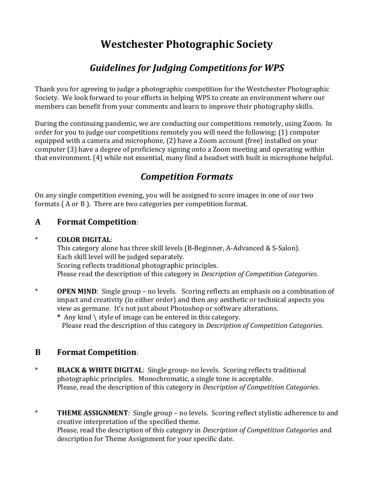# **Westchester Photographic Society**

## *Guidelines for Judging Competitions for WPS*

Thank you for agreeing to judge a photographic competition for the Westchester Photographic Society. We look forward to your efforts in helping WPS to create an environment where our members can benefit from your comments and learn to improve their photography skills.

During the continuing pandemic, we are conducting our competitions remotely, using Zoom. In order for you to judge our competitions remotely you will need the following: (1) computer equipped with a camera and microphone, (2) have a Zoom account (free) installed on your computer (3) have a degree of proficiency signing onto a Zoom meeting and operating within that environment. (4) while not essential, many find a headset with built in microphone helpful.

## *Competition Formats*

On any single competition evening, you will be assigned to score images in one of our two formats ( A or B ). There are two categories per competition format.

#### **A Format Competition**:

#### \* **COLOR DIGITAL**:

This category alone has three skill levels (B-Beginner, A-Advanced & S-Salon). Each skill level will be judged separately. Scoring reflects traditional photographic principles. Please read the description of this category in *Description of Competition Categories*.

- \* **OPEN MIND**: Single group no levels. Scoring reflects an emphasis on a combination of impact and creativity (in either order) and then any aesthetic or technical aspects you view as germane. It's not just about Photoshop or software alterations.
	- **\*** Any kind \ style of image can be entered in this category. Please read the description of this category in *Description of Competition Categories*.

#### **B Format Competition**:

- \* **BLACK & WHITE DIGITAL**: Single group- no levels. Scoring reflects traditional photographic principles. Monochromatic, a single tone is acceptable. Please, read the description of this category in *Description of Competition Categories*.
- \* **THEME ASSIGNMENT**: Single group no levels. Scoring reflect stylistic adherence to and creative interpretation of the specified theme. Please, read the description of this category in *Description of Competition Categories* and description for Theme Assignment for your specific date.